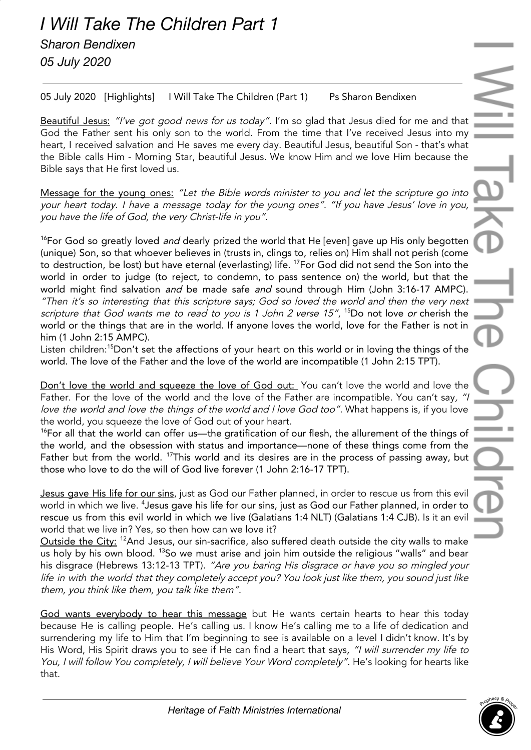05 July 2020 [Highlights] I Will Take The Children (Part 1) Ps Sharon Bendixen

Beautiful Jesus: "I've got good news for us today". I'm so glad that Jesus died for me and that God the Father sent his only son to the world. From the time that I've received Jesus into my heart, I received salvation and He saves me every day. Beautiful Jesus, beautiful Son - that's what the Bible calls Him - Morning Star, beautiful Jesus. We know Him and we love Him because the Bible says that He first loved us.

Message for the young ones: "Let the Bible words minister to you and let the scripture go into your heart today. I have <sup>a</sup> message today for the young ones". "If you have Jesus' love in you, you have the life of God, the very Christ-life in you".

<sup>16</sup>For God so greatly loved *and* dearly prized the world that He [even] gave up His only begotten (unique) Son, so that whoever believes in (trusts in, clings to, relies on) Him shall not perish (come to destruction, be lost) but have eternal (everlasting) life. <sup>17</sup>For God did not send the Son into the world in order to judge (to reject, to condemn, to pass sentence on) the world, but that the world might find salvation and be made safe and sound through Him (John 3:16-17 AMPC). "Then it's so interesting that this scripture says; God so loved the world and then the very next scripture that God wants me to read to you is 1 John 2 verse 15", <sup>15</sup>Do not love or cherish the world or the things that are in the world. If anyone loves the world, love for the Father is not in him (1 John 2:15 AMPC).

Listen children: <sup>15</sup>Don't set the affections of your heart on this world or in loving the things of the world. The love of the Father and the love of the world are incompatible (1 John 2:15 TPT).

Don't love the world and squeeze the love of God out: You can't love the world and love the Father. For the love of the world and the love of the Father are incompatible. You can't say, "I love the world and love the things of the world and I love God too". What happens is, if you love the world, you squeeze the love of God out of your heart.

 $16$ For all that the world can offer us—the gratification of our flesh, the allurement of the things of the world, and the obsession with status and importance—none of these things come from the Father but from the world. <sup>17</sup>This world and its desires are in the process of passing away, but those who love to do the will of God live forever (1 John 2:16-17 TPT).

Jesus gave His life for our sins, just as God our Father planned, in order to rescue us from this evil world in which we live.  $^4$ Jesus gave his life for our sins, just as God our Father planned, in order to rescue us from this evil world in which we live (Galatians 1:4 NLT) (Galatians 1:4 CJB). Is it an evil world that we live in? Yes, so then how can we love it?

<u>Outside the City: 12</u>And Jesus, our sin-sacrifice, also suffered death outside the city walls to make us holy by his own blood. <sup>13</sup>So we must arise and join him outside the religious "walls" and bear his disgrace (Hebrews 13:12-13 TPT). "Are you baring His disgrace or have you so mingled your life in with the world that they completely accept you? You look just like them, you sound just like them, you think like them, you talk like them".

God wants everybody to hear this message but He wants certain hearts to hear this today because He is calling people. He's calling us. I know He's calling me to a life of dedication and surrendering my life to Him that I'm beginning to see is available on a level I didn't know. It's by His Word, His Spirit draws you to see if He can find a heart that says, "I will surrender my life to You, I will follow You completely, I will believe Your Word completely". He's looking for hearts like that.

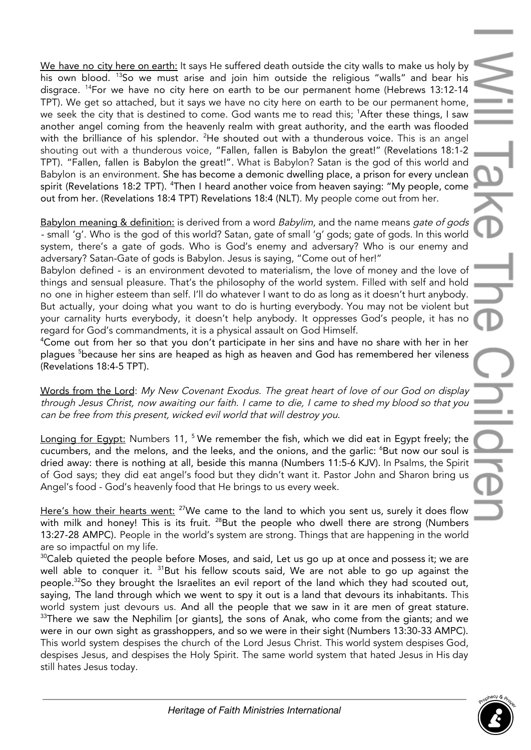We have no city here on earth: It says He suffered death outside the city walls to make us holy by his own blood. <sup>13</sup>So we must arise and join him outside the religious "walls" and bear his disgrace. <sup>14</sup>For we have no city here on earth to be our permanent home (Hebrews 13:12-14 TPT). We get so attached, but it says we have no city here on earth to be our permanent home, we seek the city that is destined to come. God wants me to read this; <sup>1</sup>After these things, I saw another angel coming from the heavenly realm with great authority, and the earth was flooded with the brilliance of his splendor. <sup>2</sup>He shouted out with a thunderous voice. This is an angel shouting out with a thunderous voice, "Fallen, fallen is Babylon the great!" (Revelations 18:1-2 TPT). "Fallen, fallen is Babylon the great!". What is Babylon? Satan is the god of this world and Babylon is an environment. She has become a demonic dwelling place, a prison for every unclean spirit (Revelations 18:2 TPT). <sup>4</sup>Then I heard another voice from heaven saying: "My people, come out from her. (Revelations 18:4 TPT) Revelations 18:4 (NLT). My people come out from her.

Babylon meaning & definition: is derived from a word Babylim, and the name means gate of gods - small 'g'. Who is the god of this world? Satan, gate of small 'g' gods; gate of gods. In this world system, there's a gate of gods. Who is God's enemy and adversary? Who is our enemy and adversary? Satan-Gate of gods is Babylon. Jesus is saying, "Come out of her!"

Babylon defined - is an environment devoted to materialism, the love of money and the love of things and sensual pleasure. That's the philosophy of the world system. Filled with self and hold no one in higher esteem than self. I'll do whatever I want to do as long as it doesn't hurt anybody. But actually, your doing what you want to do is hurting everybody. You may not be violent but your carnality hurts everybody, it doesn't help anybody. It oppresses God's people, it has no regard for God's commandments, it is a physical assault on God Himself.

<sup>4</sup>Come out from her so that you don't participate in her sins and have no share with her in her plagues <sup>5</sup>because her sins are heaped as high as heaven and God has remembered her vileness (Revelations 18:4-5 TPT).

Words from the Lord: My New Covenant Exodus. The great heart of love of our God on display through Jesus Christ, now awaiting our faith. I came to die, I came to shed my blood so that you can be free from this present, wicked evil world that will destroy you.

Longing for Egypt: Numbers 11, <sup>5</sup> We remember the fish, which we did eat in Egypt freely; the cucumbers, and the melons, and the leeks, and the onions, and the garlic: <sup>6</sup>But now our soul is dried away: there is nothing at all, beside this manna (Numbers 11:5-6 KJV). In Psalms, the Spirit of God says; they did eat angel's food but they didn't want it. Pastor John and Sharon bring us Angel's food - God's heavenly food that He brings to us every week.

Here's how their hearts went: <sup>27</sup>We came to the land to which you sent us, surely it does flow with milk and honey! This is its fruit.  $^{28}$ But the people who dwell there are strong (Numbers 13:27-28 AMPC). People in the world's system are strong. Things that are happening in the world are so impactful on my life.

 $30$ Caleb quieted the people before Moses, and said, Let us go up at once and possess it; we are well able to conquer it.  $^{\rm 31}$ But his fellow scouts said, We are not able to go up against the people.<sup>32</sup>So they brought the Israelites an evil report of the land which they had scouted out, saying, The land through which we went to spy it out is a land that devours its inhabitants. This world system just devours us. And all the people that we saw in it are men of great stature.  $33$ There we saw the Nephilim [or giants], the sons of Anak, who come from the giants; and we were in our own sight as grasshoppers, and so we were in their sight (Numbers 13:30-33 AMPC). This world system despises the church of the Lord Jesus Christ. This world system despises God, despises Jesus, and despises the Holy Spirit. The same world system that hated Jesus in His day still hates Jesus today.

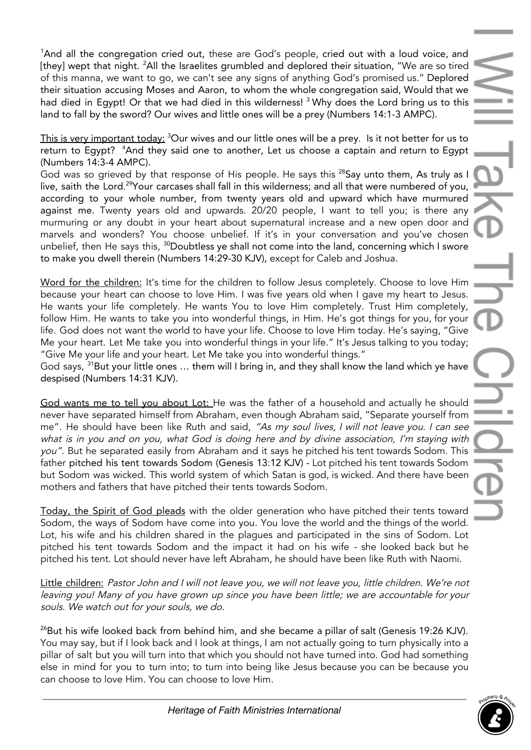<sup>1</sup>And all the congregation cried out, these are God's people, cried out with a loud voice, and [they] wept that night. <sup>2</sup>All the Israelites grumbled and deplored their situation, "We are so tired of this manna, we want to go, we can't see any signs of anything God's promised us." Deplored their situation accusing Moses and Aaron, to whom the whole congregation said, Would that we had died in Egypt! Or that we had died in this wilderness! <sup>3</sup> Why does the Lord bring us to this land to fall by the sword? Our wives and little ones will be a prey (Numbers 14:1-3 AMPC).

This is very important today: <sup>3</sup>Our wives and our little ones will be a prey. Is it not better for us to return to Egypt? <sup>4</sup>And they said one to another, Let us choose a captain and return to Egypt (Numbers 14:3-4 AMPC).

God was so grieved by that response of His people. He says this <sup>28</sup>Say unto them, As truly as I live, saith the Lord.<sup>29</sup>Your carcases shall fall in this wilderness; and all that were numbered of you, according to your whole number, from twenty years old and upward which have murmured against me. Twenty years old and upwards. 20/20 people, I want to tell you; is there any murmuring or any doubt in your heart about supernatural increase and a new open door and marvels and wonders? You choose unbelief. If it's in your conversation and you've chosen unbelief, then He says this, <sup>30</sup>Doubtless ye shall not come into the land, concerning which I swore to make you dwell therein (Numbers 14:29-30 KJV), except for Caleb and Joshua.

Word for the children: It's time for the children to follow Jesus completely. Choose to love Him because your heart can choose to love Him. I was five years old when I gave my heart to Jesus. He wants your life completely. He wants You to love Him completely. Trust Him completely, follow Him. He wants to take you into wonderful things, in Him. He's got things for you, for your life. God does not want the world to have your life. Choose to love Him today. He's saying, "Give Me your heart. Let Me take you into wonderful things in your life." It's Jesus talking to you today; "Give Me your life and your heart. Let Me take you into wonderful things."

God says, <sup>31</sup>But your little ones ... them will I bring in, and they shall know the land which ye have despised (Numbers 14:31 KJV).

God wants me to tell you about Lot: He was the father of a household and actually he should never have separated himself from Abraham, even though Abraham said, "Separate yourself from me". He should have been like Ruth and said, "As my soul lives, I will not leave you. I can see what is in you and on you, what God is doing here and by divine association, I'm staying with you". But he separated easily from Abraham and it says he pitched his tent towards Sodom. This father pitched his tent towards Sodom (Genesis 13:12 KJV) - Lot pitched his tent towards Sodom but Sodom was wicked. This world system of which Satan is god, is wicked. And there have been mothers and fathers that have pitched their tents towards Sodom.

Today, the Spirit of God pleads with the older generation who have pitched their tents toward Sodom, the ways of Sodom have come into you. You love the world and the things of the world. Lot, his wife and his children shared in the plagues and participated in the sins of Sodom. Lot pitched his tent towards Sodom and the impact it had on his wife - she looked back but he pitched his tent. Lot should never have left Abraham, he should have been like Ruth with Naomi.

Little children: Pastor John and I will not leave you, we will not leave you, little children. We're not leaving you! Many of you have grown up since you have been little; we are accountable for your souls. We watch out for your souls, we do.

 $^{26}$ But his wife looked back from behind him, and she became a pillar of salt (Genesis 19:26 KJV). You may say, but if I look back and I look at things, I am not actually going to turn physically into a pillar of salt but you will turn into that which you should not have turned into. God had something else in mind for you to turn into; to turn into being like Jesus because you can be because you can choose to love Him. You can choose to love Him.